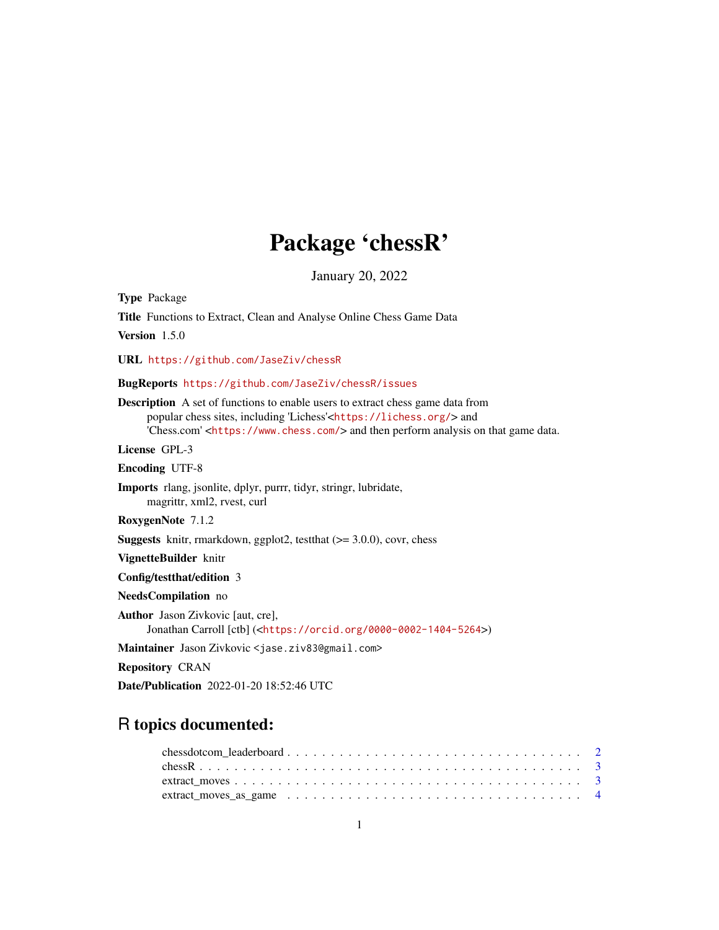## Package 'chessR'

January 20, 2022

Type Package Title Functions to Extract, Clean and Analyse Online Chess Game Data Version 1.5.0 URL <https://github.com/JaseZiv/chessR> BugReports <https://github.com/JaseZiv/chessR/issues> Description A set of functions to enable users to extract chess game data from popular chess sites, including 'Lichess'<<https://lichess.org/>> and 'Chess.com' <<https://www.chess.com/>> and then perform analysis on that game data. License GPL-3 Encoding UTF-8 Imports rlang, jsonlite, dplyr, purrr, tidyr, stringr, lubridate, magrittr, xml2, rvest, curl RoxygenNote 7.1.2 **Suggests** knitr, rmarkdown, ggplot2, testthat  $(>= 3.0.0)$ , covr, chess VignetteBuilder knitr Config/testthat/edition 3 NeedsCompilation no Author Jason Zivkovic [aut, cre], Jonathan Carroll [ctb] (<<https://orcid.org/0000-0002-1404-5264>>) Maintainer Jason Zivkovic <jase.ziv83@gmail.com>

Repository CRAN

Date/Publication 2022-01-20 18:52:46 UTC

### R topics documented: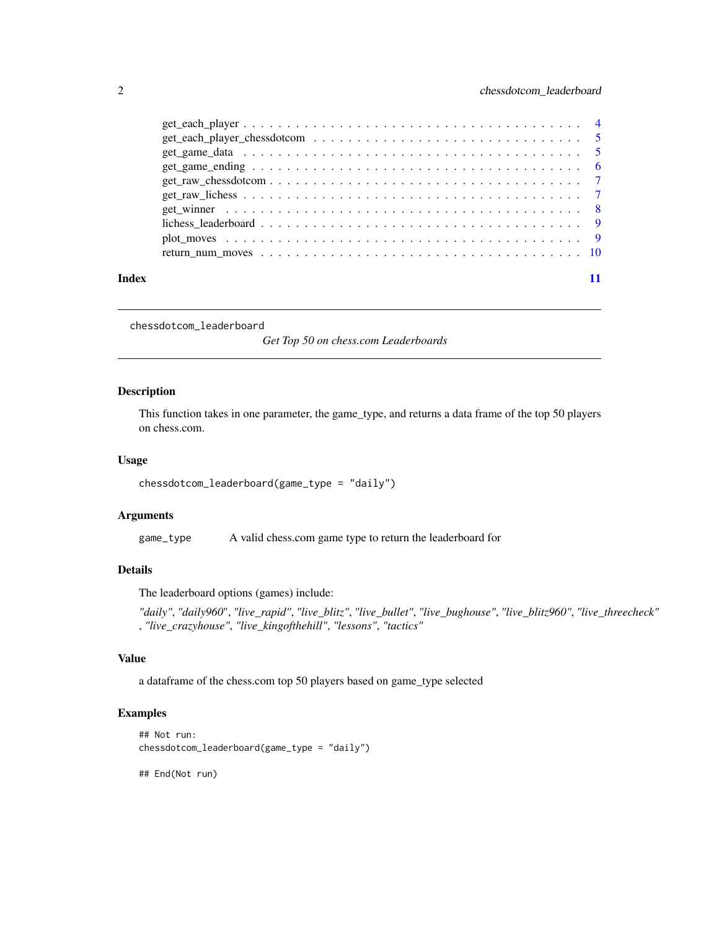<span id="page-1-0"></span>

|       | $get\_game\_ending \dots \dots \dots \dots \dots \dots \dots \dots \dots \dots \dots \dots \dots \dots \dots$            |  |
|-------|--------------------------------------------------------------------------------------------------------------------------|--|
|       |                                                                                                                          |  |
|       |                                                                                                                          |  |
|       | get winner $\dots \dots \dots \dots \dots \dots \dots \dots \dots \dots \dots \dots \dots \dots \dots \dots \dots \dots$ |  |
|       |                                                                                                                          |  |
|       |                                                                                                                          |  |
|       |                                                                                                                          |  |
|       |                                                                                                                          |  |
| Index |                                                                                                                          |  |

chessdotcom\_leaderboard

*Get Top 50 on chess.com Leaderboards*

#### Description

This function takes in one parameter, the game\_type, and returns a data frame of the top 50 players on chess.com.

#### Usage

chessdotcom\_leaderboard(game\_type = "daily")

#### Arguments

game\_type A valid chess.com game type to return the leaderboard for

#### Details

The leaderboard options (games) include:

*"daily"*, *"daily960*", *"live\_rapid"*, *"live\_blitz"*, *"live\_bullet"*, *"live\_bughouse"*, *"live\_blitz960"*, *"live\_threecheck"* , *"live\_crazyhouse"*, *"live\_kingofthehill"*, *"lessons"*, *"tactics"*

#### Value

a dataframe of the chess.com top 50 players based on game\_type selected

#### Examples

```
## Not run:
chessdotcom_leaderboard(game_type = "daily")
```
## End(Not run)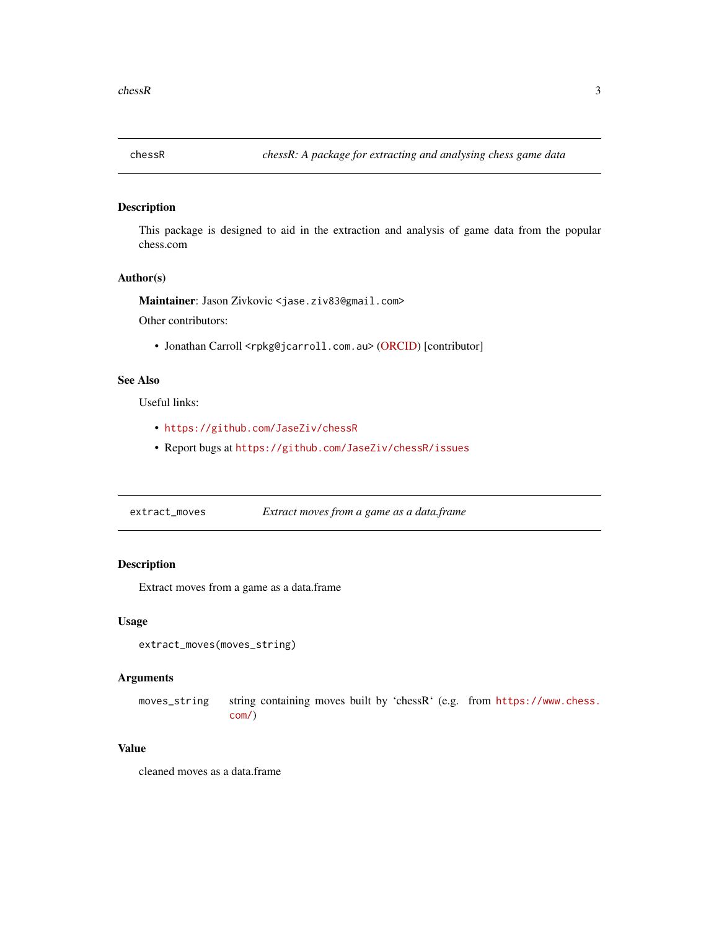<span id="page-2-0"></span>

#### Description

This package is designed to aid in the extraction and analysis of game data from the popular chess.com

#### Author(s)

Maintainer: Jason Zivkovic <jase.ziv83@gmail.com>

Other contributors:

• Jonathan Carroll <rpkg@jcarroll.com.au> [\(ORCID\)](https://orcid.org/0000-0002-1404-5264) [contributor]

#### See Also

Useful links:

- <https://github.com/JaseZiv/chessR>
- Report bugs at <https://github.com/JaseZiv/chessR/issues>

extract\_moves *Extract moves from a game as a data.frame*

#### Description

Extract moves from a game as a data.frame

#### Usage

```
extract_moves(moves_string)
```
#### Arguments

moves\_string string containing moves built by 'chessR' (e.g. from [https://www.chess.](https://www.chess.com/) [com/](https://www.chess.com/))

#### Value

cleaned moves as a data.frame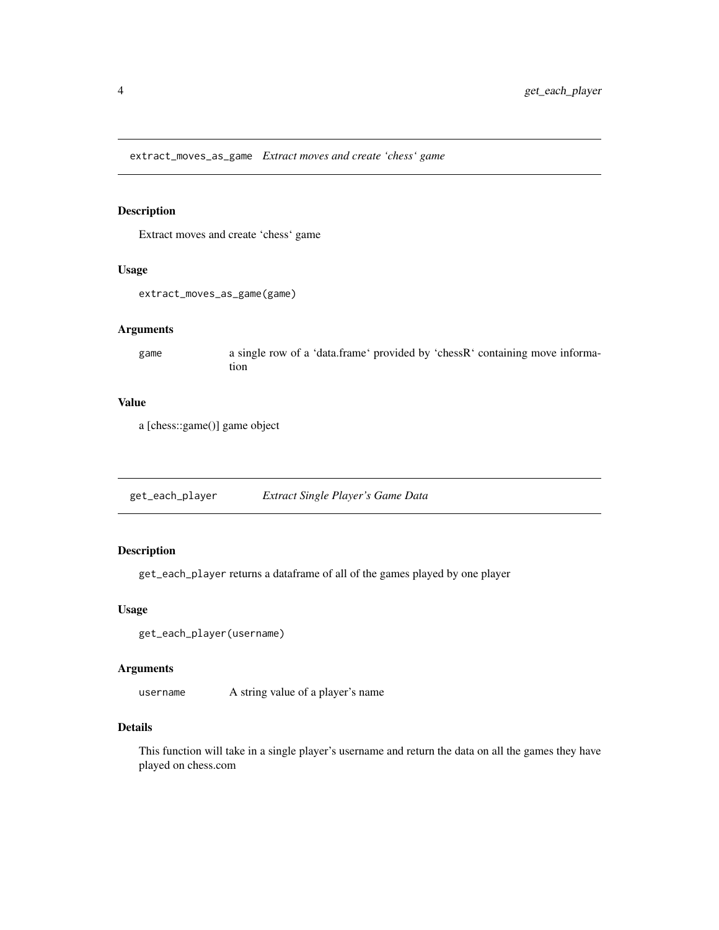<span id="page-3-0"></span>extract\_moves\_as\_game *Extract moves and create 'chess' game*

#### Description

Extract moves and create 'chess' game

#### Usage

extract\_moves\_as\_game(game)

#### Arguments

game a single row of a 'data.frame' provided by 'chessR' containing move information

#### Value

a [chess::game()] game object

get\_each\_player *Extract Single Player's Game Data*

#### Description

get\_each\_player returns a dataframe of all of the games played by one player

#### Usage

```
get_each_player(username)
```
#### Arguments

username A string value of a player's name

#### Details

This function will take in a single player's username and return the data on all the games they have played on chess.com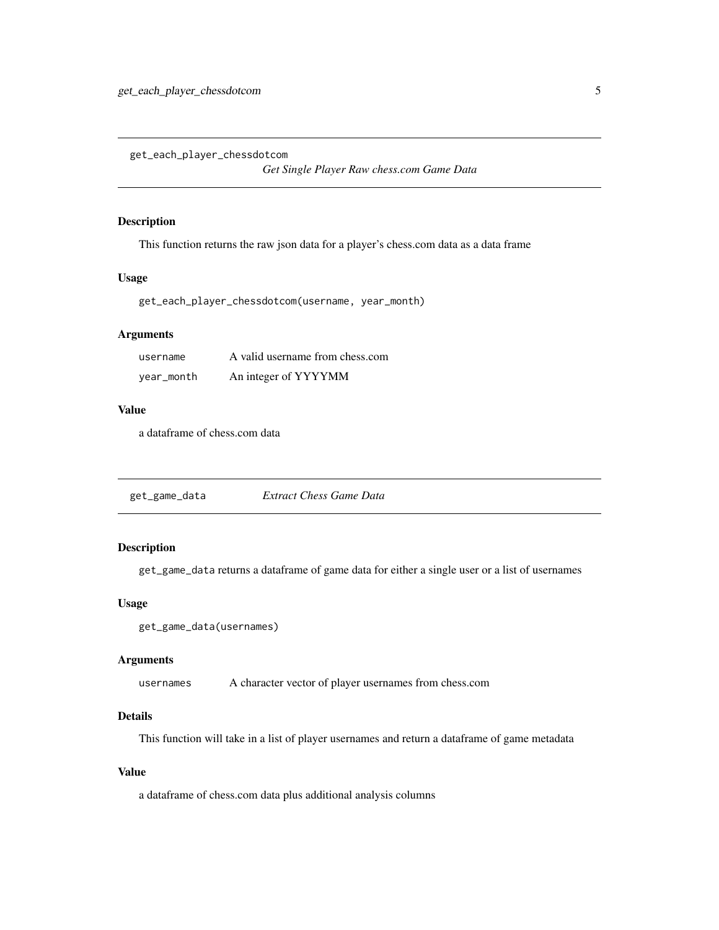<span id="page-4-0"></span>get\_each\_player\_chessdotcom

*Get Single Player Raw chess.com Game Data*

#### Description

This function returns the raw json data for a player's chess.com data as a data frame

#### Usage

get\_each\_player\_chessdotcom(username, year\_month)

#### Arguments

| username   | A valid username from chess.com |
|------------|---------------------------------|
| year_month | An integer of YYYYMM            |

#### Value

a dataframe of chess.com data

get\_game\_data *Extract Chess Game Data*

#### Description

get\_game\_data returns a dataframe of game data for either a single user or a list of usernames

#### Usage

```
get_game_data(usernames)
```
#### Arguments

usernames A character vector of player usernames from chess.com

#### Details

This function will take in a list of player usernames and return a dataframe of game metadata

#### Value

a dataframe of chess.com data plus additional analysis columns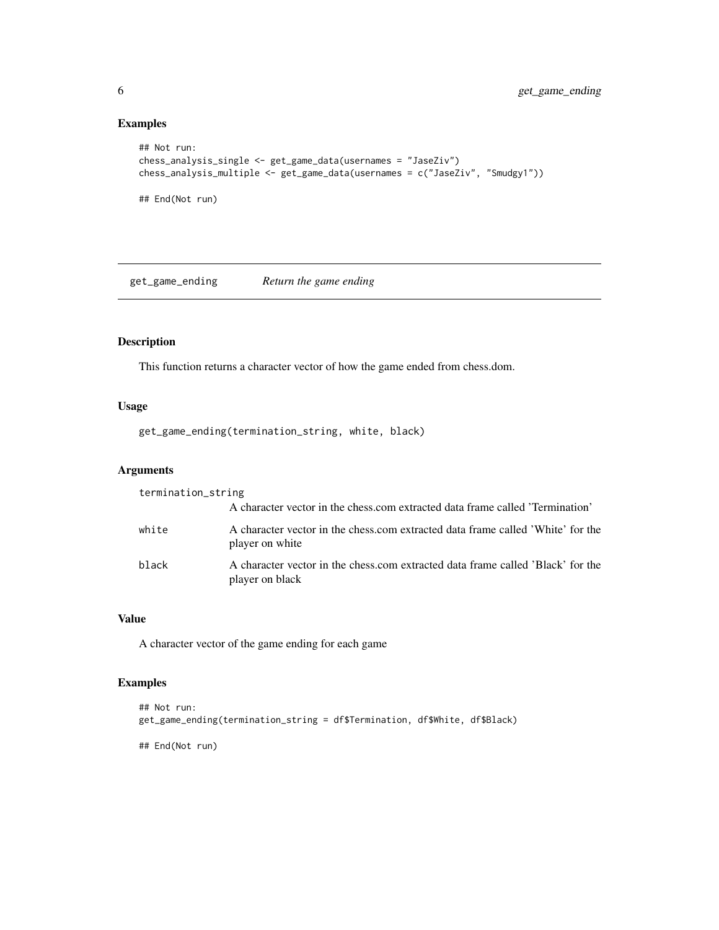#### Examples

```
## Not run:
chess_analysis_single <- get_game_data(usernames = "JaseZiv")
chess_analysis_multiple <- get_game_data(usernames = c("JaseZiv", "Smudgy1"))
## End(Not run)
```
get\_game\_ending *Return the game ending*

#### Description

This function returns a character vector of how the game ended from chess.dom.

#### Usage

get\_game\_ending(termination\_string, white, black)

#### Arguments

| termination_string |                                                                                                    |
|--------------------|----------------------------------------------------------------------------------------------------|
|                    | A character vector in the chess.com extracted data frame called 'Termination'                      |
| white              | A character vector in the chess.com extracted data frame called 'White' for the<br>player on white |
| black              | A character vector in the chess.com extracted data frame called 'Black' for the<br>player on black |

#### Value

A character vector of the game ending for each game

#### Examples

```
## Not run:
get_game_ending(termination_string = df$Termination, df$White, df$Black)
## End(Not run)
```
<span id="page-5-0"></span>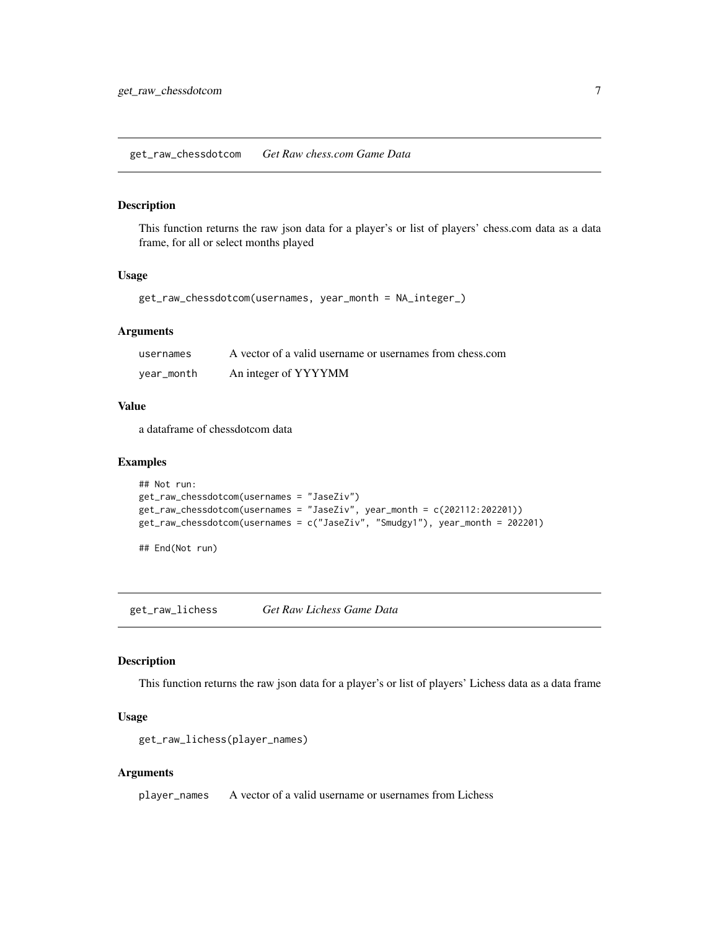```
get_raw_chessdotcom Get Raw chess.com Game Data
```
#### Description

This function returns the raw json data for a player's or list of players' chess.com data as a data frame, for all or select months played

#### Usage

```
get_raw_chessdotcom(usernames, year_month = NA_integer_)
```
#### Arguments

| usernames  | A vector of a valid username or usernames from chess.com |
|------------|----------------------------------------------------------|
| vear_month | An integer of YYYYMM                                     |

#### Value

a dataframe of chessdotcom data

#### Examples

```
## Not run:
get_raw_chessdotcom(usernames = "JaseZiv")
get_raw_chessdotcom(usernames = "JaseZiv", year_month = c(202112:202201))
get_raw_chessdotcom(usernames = c("JaseZiv", "Smudgy1"), year_month = 202201)
```
## End(Not run)

get\_raw\_lichess *Get Raw Lichess Game Data*

#### Description

This function returns the raw json data for a player's or list of players' Lichess data as a data frame

#### Usage

```
get_raw_lichess(player_names)
```
#### Arguments

player\_names A vector of a valid username or usernames from Lichess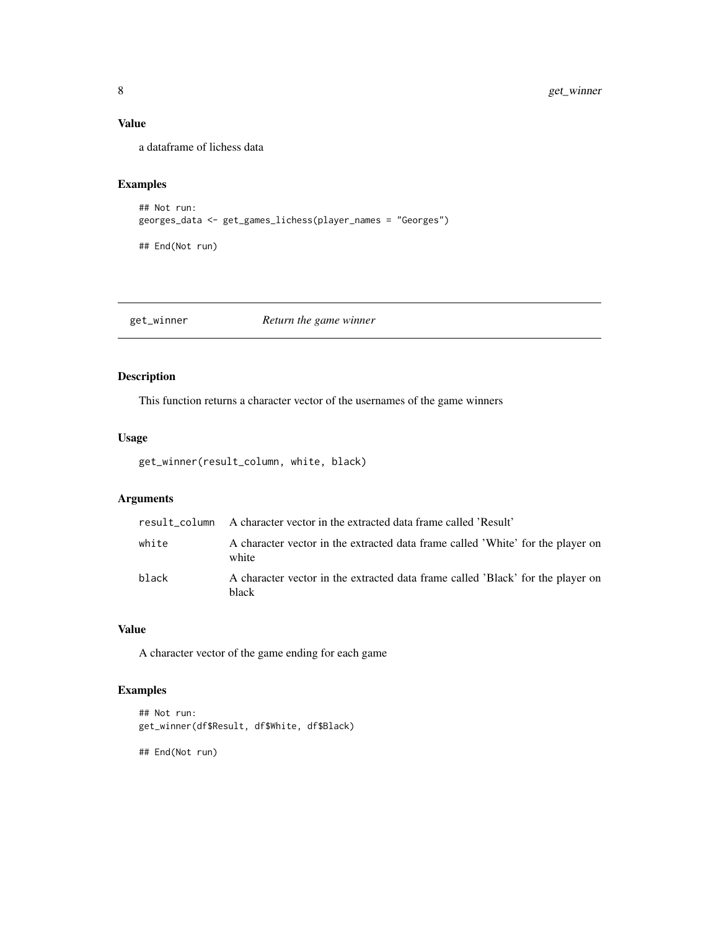#### <span id="page-7-0"></span>Value

a dataframe of lichess data

#### Examples

```
## Not run:
georges_data <- get_games_lichess(player_names = "Georges")
```
## End(Not run)

get\_winner *Return the game winner*

#### Description

This function returns a character vector of the usernames of the game winners

#### Usage

get\_winner(result\_column, white, black)

#### Arguments

|       | result_column A character vector in the extracted data frame called 'Result'             |
|-------|------------------------------------------------------------------------------------------|
| white | A character vector in the extracted data frame called 'White' for the player on<br>white |
| black | A character vector in the extracted data frame called 'Black' for the player on<br>black |

#### Value

A character vector of the game ending for each game

#### Examples

```
## Not run:
get_winner(df$Result, df$White, df$Black)
```
## End(Not run)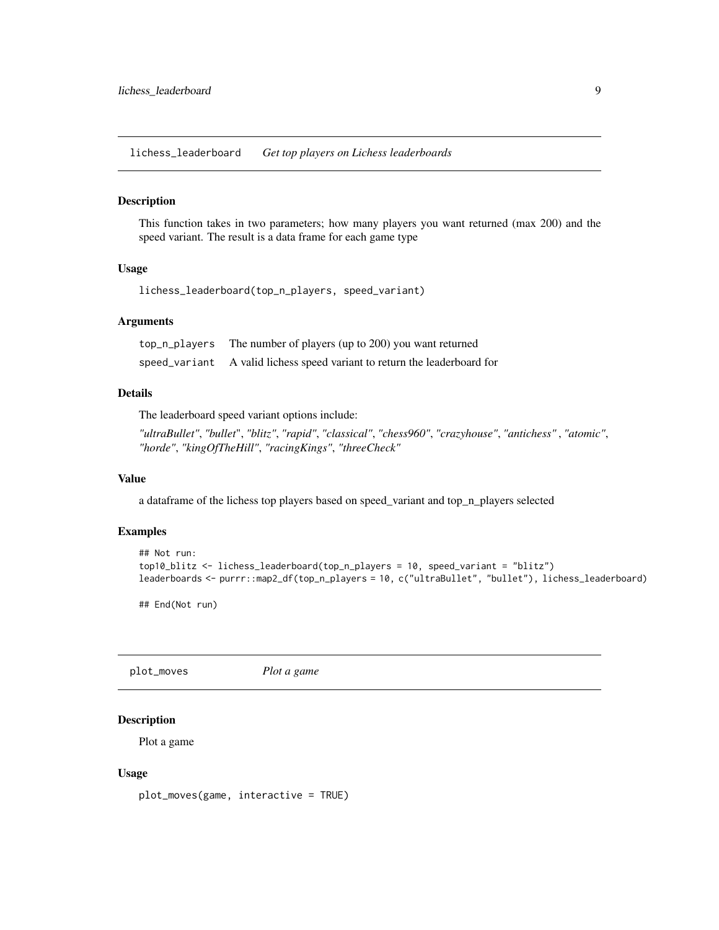<span id="page-8-0"></span>lichess\_leaderboard *Get top players on Lichess leaderboards*

#### Description

This function takes in two parameters; how many players you want returned (max 200) and the speed variant. The result is a data frame for each game type

#### Usage

```
lichess_leaderboard(top_n_players, speed_variant)
```
#### **Arguments**

| top_n_players | The number of players (up to 200) you want returned                       |
|---------------|---------------------------------------------------------------------------|
|               | speed_variant A valid lichess speed variant to return the leaderboard for |

#### Details

The leaderboard speed variant options include:

*"ultraBullet"*, *"bullet*", *"blitz"*, *"rapid"*, *"classical"*, *"chess960"*, *"crazyhouse"*, *"antichess"* , *"atomic"*, *"horde"*, *"kingOfTheHill"*, *"racingKings"*, *"threeCheck"*

#### Value

a dataframe of the lichess top players based on speed\_variant and top\_n\_players selected

#### Examples

```
## Not run:
top10_blitz <- lichess_leaderboard(top_n_players = 10, speed_variant = "blitz")
leaderboards <- purrr::map2_df(top_n_players = 10, c("ultraBullet", "bullet"), lichess_leaderboard)
```
## End(Not run)

plot\_moves *Plot a game*

#### Description

Plot a game

#### Usage

plot\_moves(game, interactive = TRUE)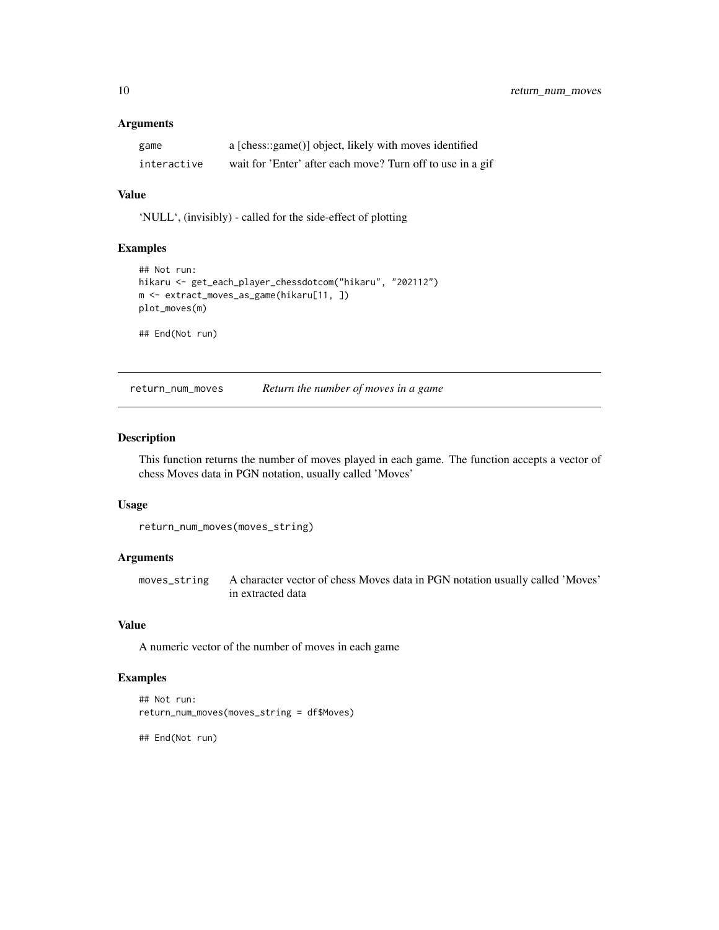#### <span id="page-9-0"></span>Arguments

| game        | a [chess::game()] object, likely with moves identified     |
|-------------|------------------------------------------------------------|
| interactive | wait for 'Enter' after each move? Turn off to use in a gif |

#### Value

'NULL', (invisibly) - called for the side-effect of plotting

#### Examples

```
## Not run:
hikaru <- get_each_player_chessdotcom("hikaru", "202112")
m <- extract_moves_as_game(hikaru[11, ])
plot_moves(m)
## End(Not run)
```
return\_num\_moves *Return the number of moves in a game*

#### Description

This function returns the number of moves played in each game. The function accepts a vector of chess Moves data in PGN notation, usually called 'Moves'

#### Usage

```
return_num_moves(moves_string)
```
#### Arguments

moves\_string A character vector of chess Moves data in PGN notation usually called 'Moves' in extracted data

#### Value

A numeric vector of the number of moves in each game

#### Examples

```
## Not run:
return_num_moves(moves_string = df$Moves)
```
## End(Not run)